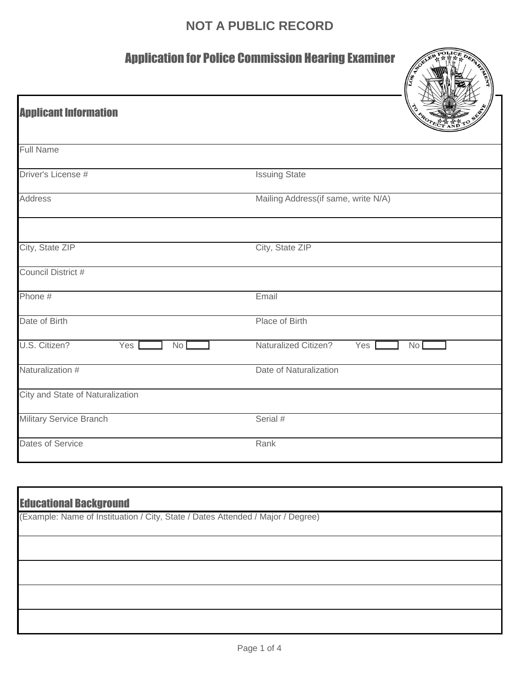## **NOT A PUBLIC RECORD**

## Application for Police Commission Hearing Examiner

| <b>Application for Police Commission Rearing Examiner</b><br>A CEL<br>1198.52 |                                                         |  |
|-------------------------------------------------------------------------------|---------------------------------------------------------|--|
| <b>Applicant Information</b>                                                  |                                                         |  |
| <b>Full Name</b>                                                              |                                                         |  |
| Driver's License #                                                            | <b>Issuing State</b>                                    |  |
| <b>Address</b>                                                                | Mailing Address(if same, write N/A)                     |  |
| City, State ZIP                                                               | City, State ZIP                                         |  |
| Council District #                                                            |                                                         |  |
| Phone #                                                                       | Email                                                   |  |
| Date of Birth                                                                 | Place of Birth                                          |  |
| U.S. Citizen?<br>Yes<br>No <sub>1</sub>                                       | <b>Naturalized Citizen?</b><br>Yes  <br>No <sub>1</sub> |  |
| Naturalization #                                                              | Date of Naturalization                                  |  |
| City and State of Naturalization                                              |                                                         |  |
| <b>Military Service Branch</b>                                                | Serial #                                                |  |
| Dates of Service                                                              | Rank                                                    |  |

| <b>Educational Background</b><br>(Example: Name of Instituation / City, State / Dates Attended / Major / Degree) |  |  |
|------------------------------------------------------------------------------------------------------------------|--|--|
|                                                                                                                  |  |  |
|                                                                                                                  |  |  |
|                                                                                                                  |  |  |
|                                                                                                                  |  |  |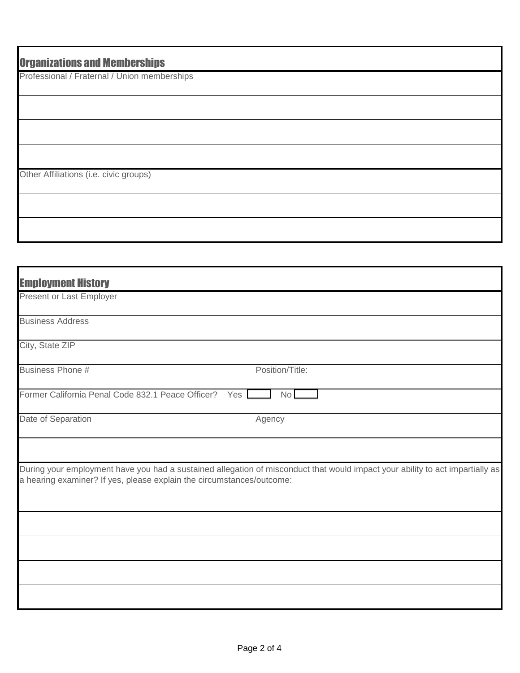| <b>Organizations and Memberships</b>         |
|----------------------------------------------|
| Professional / Fraternal / Union memberships |
|                                              |
|                                              |
|                                              |
|                                              |
| Other Affiliations (i.e. civic groups)       |
|                                              |
|                                              |

| <b>Employment History</b>                                             |                                                                                                                               |
|-----------------------------------------------------------------------|-------------------------------------------------------------------------------------------------------------------------------|
| Present or Last Employer                                              |                                                                                                                               |
| <b>Business Address</b>                                               |                                                                                                                               |
| City, State ZIP                                                       |                                                                                                                               |
| Business Phone #                                                      | Position/Title:                                                                                                               |
| Former California Penal Code 832.1 Peace Officer? Yes                 | No                                                                                                                            |
| Date of Separation                                                    | Agency                                                                                                                        |
|                                                                       |                                                                                                                               |
| a hearing examiner? If yes, please explain the circumstances/outcome: | During your employment have you had a sustained allegation of misconduct that would impact your ability to act impartially as |
|                                                                       |                                                                                                                               |
|                                                                       |                                                                                                                               |
|                                                                       |                                                                                                                               |
|                                                                       |                                                                                                                               |
|                                                                       |                                                                                                                               |
|                                                                       |                                                                                                                               |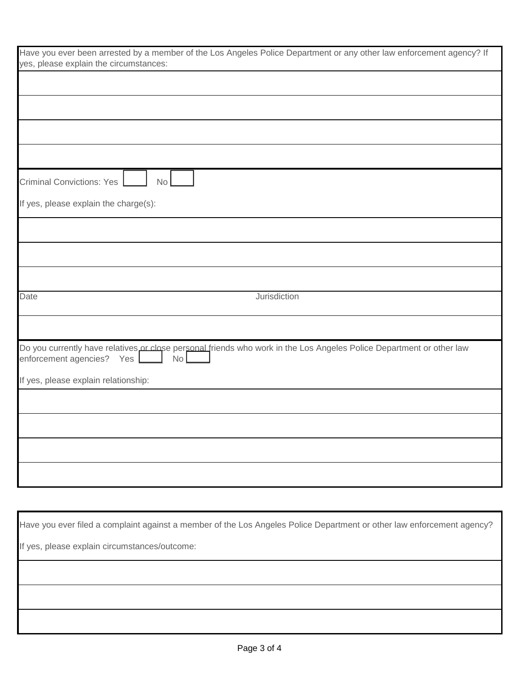| Have you ever been arrested by a member of the Los Angeles Police Department or any other law enforcement agency? If<br>yes, please explain the circumstances: |  |  |
|----------------------------------------------------------------------------------------------------------------------------------------------------------------|--|--|
|                                                                                                                                                                |  |  |
|                                                                                                                                                                |  |  |
|                                                                                                                                                                |  |  |
|                                                                                                                                                                |  |  |
|                                                                                                                                                                |  |  |
| <b>Criminal Convictions: Yes</b><br><b>No</b>                                                                                                                  |  |  |
| If yes, please explain the charge(s):                                                                                                                          |  |  |
|                                                                                                                                                                |  |  |
|                                                                                                                                                                |  |  |
|                                                                                                                                                                |  |  |
| Jurisdiction<br>Date                                                                                                                                           |  |  |
|                                                                                                                                                                |  |  |
| Do you currently have relatives or close personal friends who work in the Los Angeles Police Department or other law<br>enforcement agencies? Yes<br>No        |  |  |
| If yes, please explain relationship:                                                                                                                           |  |  |
|                                                                                                                                                                |  |  |
|                                                                                                                                                                |  |  |
|                                                                                                                                                                |  |  |
|                                                                                                                                                                |  |  |
|                                                                                                                                                                |  |  |

Have you ever filed a complaint against a member of the Los Angeles Police Department or other law enforcement agency? If yes, please explain circumstances/outcome: